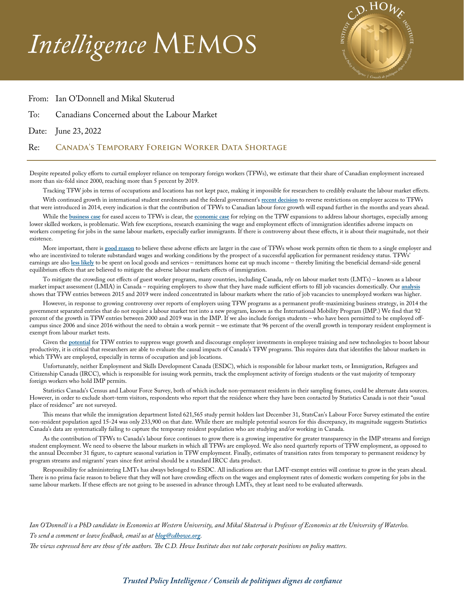# *Intelligence* Memos



### From: Ian O'Donnell and Mikal Skuterud

To: Canadians Concerned about the Labour Market

Date: June 23, 2022

#### Re: **Canada's Temporary Foreign Worker Data Shortage**

Despite repeated policy efforts to curtail employer reliance on temporary foreign workers (TFWs), we estimate that their share of Canadian employment increased more than six-fold since 2000, reaching more than 5 percent by 2019.

Tracking TFW jobs in terms of occupations and locations has not kept pace, making it impossible for researchers to credibly evaluate the labour market effects. With continued growth in international student enrolments and the federal government's **[recent decision](https://www.canada.ca/en/employment-social-development/news/2022/04/government-of-canada-announces-workforce-solutions-road-map--further-changes-to-the-temporary-foreign-worker-program-to-address-labour-shortages-ac.html)** to reverse restrictions on employer access to TFWs that were introduced in 2014, every indication is that the contribution of TFWs to Canadian labour force growth will expand further in the months and years ahead.

While the **[business case](https://www.cambridge.org/core/journals/canadian-journal-of-political-science-revue-canadienne-de-science-politique/article/abs/corporate-lobbying-and-immigration-policies-in-canada/CAF31CED1790EECB9EAAE6CC8CCEDDF8)** for eased access to TFWs is clear, the **[economic case](https://policyoptions.irpp.org/magazines/april-2022/temporary-foreign-workers-wages/)** for relying on the TFW expansions to address labour shortages, especially among lower skilled workers, is problematic. With few exceptions, research examining the wage and employment effects of immigration identifies adverse impacts on workers competing for jobs in the same labour markets, especially earlier immigrants. If there is controversy about these effects, it is about their magnitude, not their existence.

More important, there is **[good reason](https://www.aeaweb.org/articles?id=10.1257/jel.54.1.98)** to believe these adverse effects are larger in the case of TFWs whose work permits often tie them to a single employer and who are incentivized to tolerate substandard wages and working conditions by the prospect of a successful application for permanent residency status. TFWs' earnings are also **[less likely](https://www.sciencedirect.com/science/article/abs/pii/S0304387808001351)** to be spent on local goods and services – remittances home eat up much income – thereby limiting the beneficial demand-side general equilibrium effects that are believed to mitigate the adverse labour markets effects of immigration.

To mitigate the crowding out effects of guest worker programs, many countries, including Canada, rely on labour market tests (LMTs) – known as a labour market impact assessment (LMIA) in Canada – requiring employers to show that they have made sufficient efforts to fill job vacancies domestically. Our **[analysis](https://clef.uwaterloo.ca/wp-content/uploads/2021/10/CLEF-039-2021-ODonnell_Skuterud.pdf)** shows that TFW entries between 2015 and 2019 were indeed concentrated in labour markets where the ratio of job vacancies to unemployed workers was higher.

However, in response to growing controversy over reports of employers using TFW programs as a permanent profit-maximizing business strategy, in 2014 the government separated entries that do not require a labour market test into a new program, known as the International Mobility Program (IMP.) We find that 92 percent of the growth in TFW entries between 2000 and 2019 was in the IMP. If we also include foreign students – who have been permitted to be employed offcampus since 2006 and since 2016 without the need to obtain a work permit – we estimate that 96 percent of the overall growth in temporary resident employment is exempt from labour market tests.

Given the **[potential](https://onlinelibrary.wiley.com/doi/abs/10.1111/caje.12478)** for TFW entries to suppress wage growth and discourage employer investments in employee training and new technologies to boost labour productivity, it is critical that researchers are able to evaluate the causal impacts of Canada's TFW programs. This requires data that identifies the labour markets in which TFWs are employed, especially in terms of occupation and job locations.

Unfortunately, neither Employment and Skills Development Canada (ESDC), which is responsible for labour market tests, or Immigration, Refugees and Citizenship Canada (IRCC), which is responsible for issuing work permits, track the employment activity of foreign students or the vast majority of temporary foreign workers who hold IMP permits.

Statistics Canada's Census and Labour Force Survey, both of which include non-permanent residents in their sampling frames, could be alternate data sources. However, in order to exclude short-term visitors, respondents who report that the residence where they have been contacted by Statistics Canada is not their "usual place of residence" are not surveyed.

This means that while the immigration department listed 621,565 study permit holders last December 31, StatsCan's Labour Force Survey estimated the entire non-resident population aged 15-24 was only 233,900 on that date. While there are multiple potential sources for this discrepancy, its magnitude suggests Statistics Canada's data are systematically failing to capture the temporary resident population who are studying and/or working in Canada.

As the contribution of TFWs to Canada's labour force continues to grow there is a growing imperative for greater transparency in the IMP streams and foreign student employment. We need to observe the labour markets in which all TFWs are employed. We also need quarterly reports of TFW employment, as opposed to the annual December 31 figure, to capture seasonal variation in TFW employment. Finally, estimates of transition rates from temporary to permanent residency by program streams and migrants' years since first arrival should be a standard IRCC data product.

Responsibility for administering LMTs has always belonged to ESDC. All indications are that LMT-exempt entries will continue to grow in the years ahead. There is no prima facie reason to believe that they will not have crowding effects on the wages and employment rates of domestic workers competing for jobs in the same labour markets. If these effects are not going to be assessed in advance through LMTs, they at least need to be evaluated afterwards.

*Ian O'Donnell is a PhD candidate in Economics at Western University, and Mikal Skuterud is Professor of Economics at the University of Waterloo. To send a comment or leave feedback, email us at blog@cdhowe.org.* 

*The views expressed here are those of the authors. The C.D. Howe Institute does not take corporate positions on policy matters.* 

## *Trusted Policy Intelligence / Conseils de politiques dignes de confiance*